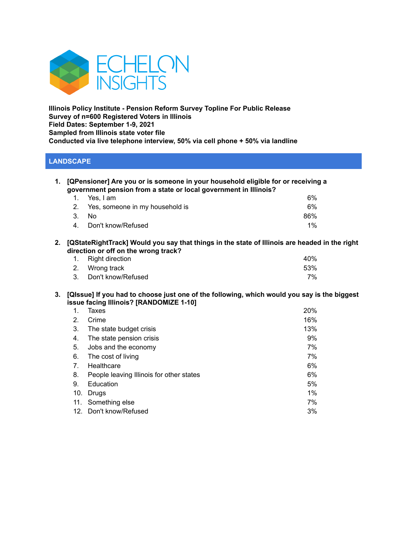

**Illinois Policy Institute - Pension Reform Survey Topline For Public Release Survey of n=600 Registered Voters in Illinois Field Dates: September 1-9, 2021 Sampled from Illinois state voter file Conducted via live telephone interview, 50% via cell phone + 50% via landline**

## **LANDSCAPE**

| 1. [QPensioner] Are you or is someone in your household eligible for or receiving a<br>government pension from a state or local government in Illinois? |                                    |     |  |
|---------------------------------------------------------------------------------------------------------------------------------------------------------|------------------------------------|-----|--|
|                                                                                                                                                         | 1. Yes, I am                       | 6%  |  |
|                                                                                                                                                         | 2. Yes, someone in my household is | 6%  |  |
|                                                                                                                                                         | 3. N <sub>0</sub>                  | 86% |  |

| 4. Don't know/Refused | $1\%$ |
|-----------------------|-------|
|                       |       |

**2. [QStateRightTrack] Would you say that things in the state of Illinois are headed in the right direction or off on the wrong track?**

| 1. Right direction    | 40% |
|-----------------------|-----|
| 2. Wrong track        | 53% |
| 3. Don't know/Refused | 7%  |

3. [QIssue] If you had to choose just one of the following, which would you say is the biggest **issue facing Illinois? [RANDOMIZE 1-10]**

| 1.  | Taxes                                    | 20% |
|-----|------------------------------------------|-----|
| 2.  | Crime                                    | 16% |
| 3.  | The state budget crisis                  | 13% |
| 4.  | The state pension crisis                 | 9%  |
| 5.  | Jobs and the economy                     | 7%  |
| 6.  | The cost of living                       | 7%  |
| 7.  | Healthcare                               | 6%  |
| 8.  | People leaving Illinois for other states | 6%  |
| 9.  | Education                                | 5%  |
| 10. | Drugs                                    | 1%  |
| 11. | Something else                           | 7%  |
|     | 12. Don't know/Refused                   | 3%  |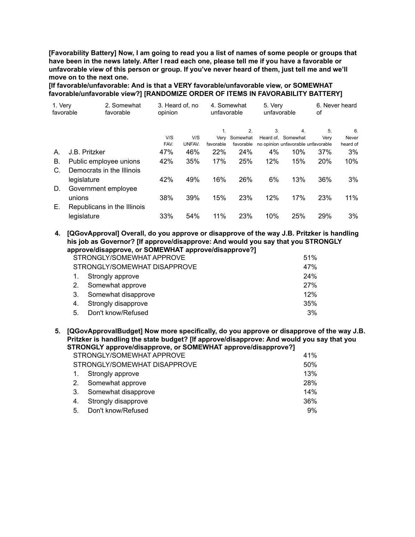[Favorability Battery] Now, I am going to read you a list of names of some people or groups that have been in the news lately. After I read each one, please tell me if you have a favorable or **unfavorable view of this person or group. If you've never heard of them, just tell me and we'll move on to the next one.**

**[If favorable/unfavorable: And is that a VERY favorable/unfavorable view, or SOMEWHAT favorable/unfavorable view?] [RANDOMIZE ORDER OF ITEMS IN FAVORABILITY BATTERY]**

| 1. Very<br>favorable | 2. Somewhat<br>favorable    | opinion | 3. Heard of, no | 4. Somewhat<br>unfavorable |           |     |                                    | 5. Very<br>unfavorable |          | оf | 6. Never heard |  |
|----------------------|-----------------------------|---------|-----------------|----------------------------|-----------|-----|------------------------------------|------------------------|----------|----|----------------|--|
|                      |                             |         |                 |                            | 2.        | 3.  | 4.                                 | 5.                     | 6.       |    |                |  |
|                      |                             | V/S     | V/S             | Verv                       | Somewhat  |     | Heard of, Somewhat                 | Verv                   | Never    |    |                |  |
|                      |                             | FAV.    | UNFAV.          | favorable                  | favorable |     | no opinion unfavorable unfavorable |                        | heard of |    |                |  |
| А.                   | J.B. Pritzker               | 47%     | 46%             | 22%                        | 24%       | 4%  | 10%                                | 37%                    | 3%       |    |                |  |
| В.                   | Public employee unions      | 42%     | 35%             | 17%                        | 25%       | 12% | 15%                                | 20%                    | 10%      |    |                |  |
| C.                   | Democrats in the Illinois   |         |                 |                            |           |     |                                    |                        |          |    |                |  |
|                      | legislature                 | 42%     | 49%             | 16%                        | 26%       | 6%  | 13%                                | 36%                    | 3%       |    |                |  |
| D.                   | Government employee         |         |                 |                            |           |     |                                    |                        |          |    |                |  |
|                      | unions                      | 38%     | 39%             | 15%                        | 23%       | 12% | 17%                                | 23%                    | $11\%$   |    |                |  |
| Е.                   | Republicans in the Illinois |         |                 |                            |           |     |                                    |                        |          |    |                |  |
|                      | legislature                 | 33%     | 54%             | 11%                        | 23%       | 10% | 25%                                | 29%                    | 3%       |    |                |  |

**4. [QGovApproval] Overall, do you approve or disapprove of the way J.B. Pritzker is handling his job as Governor? [If approve/disapprove: And would you say that you STRONGLY approve/disapprove, or SOMEWHAT approve/disapprove?]**

| STRONGLY/SOMEWHAT APPROVE    |                     |     |
|------------------------------|---------------------|-----|
| STRONGLY/SOMEWHAT DISAPPROVE |                     |     |
| $\mathbf{1}$ .               | Strongly approve    | 24% |
| 2.                           | Somewhat approve    | 27% |
| 3.                           | Somewhat disapprove | 12% |
| 4.                           | Strongly disapprove | 35% |
| 5.                           | Don't know/Refused  | 3%  |

**5. [QGovApprovalBudget] Now more specifically, do you approve or disapprove of the way J.B. Pritzker is handling the state budget? [If approve/disapprove: And would you say that you STRONGLY approve/disapprove, or SOMEWHAT approve/disapprove?]**

|                              | STRONGLY/SOMEWHAT APPROVE<br>41% |     |  |
|------------------------------|----------------------------------|-----|--|
| STRONGLY/SOMEWHAT DISAPPROVE | 50%                              |     |  |
|                              | 1. Strongly approve              | 13% |  |
|                              | 2. Somewhat approve              | 28% |  |
|                              | 3. Somewhat disapprove           | 14% |  |
|                              | 4. Strongly disapprove           | 36% |  |
|                              | 5. Don't know/Refused            | 9%  |  |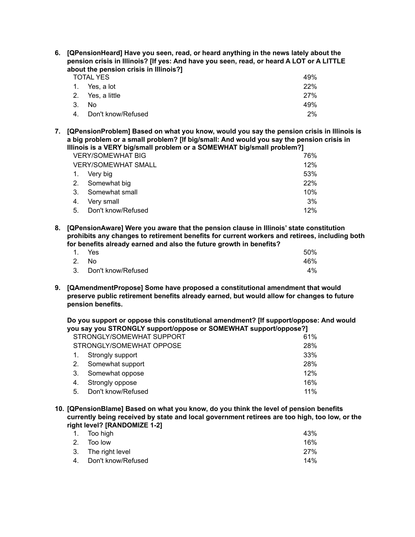| 6. [QPensionHeard] Have you seen, read, or heard anything in the news lately about the<br>pension crisis in Illinois? [If yes: And have you seen, read, or heard A LOT or A LITTLE<br>about the pension crisis in Illinois?] |                  |     |  |  |
|------------------------------------------------------------------------------------------------------------------------------------------------------------------------------------------------------------------------------|------------------|-----|--|--|
|                                                                                                                                                                                                                              | <b>TOTAL YES</b> | 49% |  |  |
|                                                                                                                                                                                                                              | 1. Yes. a lot    | 22% |  |  |
| 2 <sub>1</sub>                                                                                                                                                                                                               | Yes, a little    | 27% |  |  |
| 3.                                                                                                                                                                                                                           | No.              | 49% |  |  |

4. Don't know/Refused 2%

**7. [QPensionProblem] Based on what you know, would you say the pension crisis in Illinois is a big problem or a small problem? [If big/small: And would you say the pension crisis in Illinois is a VERY big/small problem or a SOMEWHAT big/small problem?]**

| <b>VERY/SOMEWHAT BIG</b> |                            |  | 76% |     |
|--------------------------|----------------------------|--|-----|-----|
|                          | <b>VERY/SOMEWHAT SMALL</b> |  |     | 12% |
| $\overline{1}$ .         | Very big                   |  |     | 53% |
| 2.                       | Somewhat big               |  |     | 22% |
| 3.                       | Somewhat small             |  |     | 10% |
| 4.                       | Very small                 |  |     | 3%  |
| 5.                       | Don't know/Refused         |  |     | 12% |
|                          |                            |  |     |     |

**8. [QPensionAware] Were you aware that the pension clause in Illinois' state constitution prohibits any changes to retirement benefits for current workers and retirees, including both for benefits already earned and also the future growth in benefits?**

| 1. Yes                | 50% |
|-----------------------|-----|
| 2. No                 | 46% |
| 3. Don't know/Refused | 4%  |

**9. [QAmendmentPropose] Some have proposed a constitutional amendment that would preserve public retirement benefits already earned, but would allow for changes to future pension benefits.**

**Do you support or oppose this constitutional amendment? [If support/oppose: And would you say you STRONGLY support/oppose or SOMEWHAT support/oppose?]**

| STRONGLY/SOMEWHAT SUPPORT |                    |  | 61% |
|---------------------------|--------------------|--|-----|
| STRONGLY/SOMEWHAT OPPOSE  |                    |  | 28% |
| 1.                        | Strongly support   |  | 33% |
| 2.                        | Somewhat support   |  | 28% |
| 3.                        | Somewhat oppose    |  | 12% |
| 4.                        | Strongly oppose    |  | 16% |
| 5.                        | Don't know/Refused |  | 11% |

**10. [QPensionBlame] Based on what you know, do you think the level of pension benefits currently being received by state and local government retirees are too high, too low, or the right level? [RANDOMIZE 1-2]**

| 43%        |
|------------|
| 16%        |
| <b>27%</b> |
| 14%        |
|            |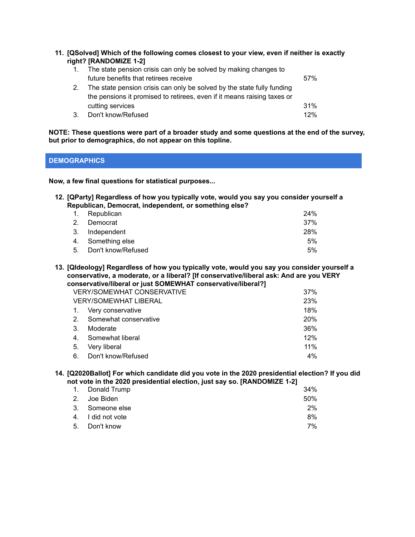**11. [QSolved] Which of the following comes closest to your view, even if neither is exactly right? [RANDOMIZE 1-2]**

| 1. | The state pension crisis can only be solved by making changes to        |      |
|----|-------------------------------------------------------------------------|------|
|    | future benefits that retirees receive                                   | .57% |
|    | The state pension crisis can only be solved by the state fully funding  |      |
|    | the pensions it promised to retirees, even if it means raising taxes or |      |
|    | cutting services                                                        | 31%  |
|    | Don't know/Refused                                                      | 12%  |

**NOTE: These questions were part of a broader study and some questions at the end of the survey, but prior to demographics, do not appear on this topline.**

# **DEMOGRAPHICS**

**Now, a few final questions for statistical purposes...**

#### **12. [QParty] Regardless of how you typically vote, would you say you consider yourself a Republican, Democrat, independent, or something else?**

|    | 1. Republican      | 24% |
|----|--------------------|-----|
| 2. | Democrat           | 37% |
|    | 3. Independent     | 28% |
|    | 4. Something else  | 5%  |
| 5. | Don't know/Refused | 5%  |

**13. [QIdeology] Regardless of how you typically vote, would you say you consider yourself a conservative, a moderate, or a liberal? [If conservative/liberal ask: And are you VERY conservative/liberal or just SOMEWHAT conservative/liberal?]**

| <b>VERY/SOMEWHAT CONSERVATIVE</b> | 37%                   |            |
|-----------------------------------|-----------------------|------------|
|                                   | VERY/SOMEWHAT LIBERAL | 23%        |
| $\mathbf{1}$ .                    | Very conservative     | 18%        |
| 2.                                | Somewhat conservative | <b>20%</b> |
| 3.                                | Moderate              | 36%        |
| 4.                                | Somewhat liberal      | 12%        |
| 5.                                | Very liberal          | 11%        |
| 6.                                | Don't know/Refused    | 4%         |

#### **14. [Q2020Ballot] For which candidate did you vote in the 2020 presidential election? If you did not vote in the 2020 presidential election, just say so. [RANDOMIZE 1-2]**

| 1. Donald Trump   | 34%   |
|-------------------|-------|
| 2. Joe Biden      | 50%   |
| 3. Someone else   | $2\%$ |
| 4. I did not vote | 8%    |
| 5. Don't know     | 7%    |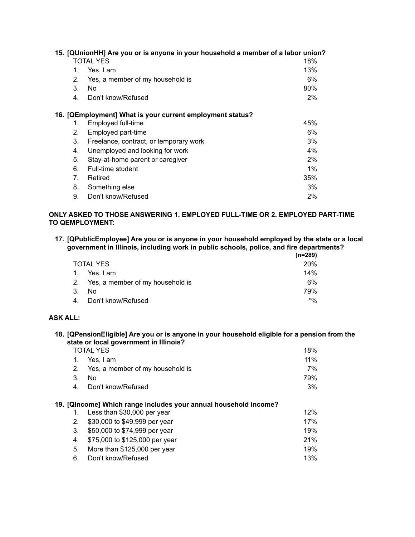|                                | 15. [QUnionHH] Are you or is anyone in your household a member of a labor union? |       |  |  |
|--------------------------------|----------------------------------------------------------------------------------|-------|--|--|
|                                | <b>TOTAL YES</b>                                                                 | 18%   |  |  |
| 1.                             | Yes, I am                                                                        |       |  |  |
| 2.                             | Yes, a member of my household is                                                 | 6%    |  |  |
| 3.                             | No.                                                                              | 80%   |  |  |
| 4.                             | Don't know/Refused                                                               | 2%    |  |  |
|                                | 16. [QEmployment] What is your current employment status?                        |       |  |  |
| 1.                             | Employed full-time                                                               | 45%   |  |  |
| 2.                             | Employed part-time                                                               | 6%    |  |  |
| 3.                             | Freelance, contract, or temporary work                                           | 3%    |  |  |
| 4.                             | Unemployed and looking for work                                                  | $4\%$ |  |  |
| 5.                             | Stay-at-home parent or caregiver                                                 | 2%    |  |  |
| 6.                             | Full-time student                                                                | $1\%$ |  |  |
| $7_{\scriptscriptstyle{\sim}}$ | Retired                                                                          | 35%   |  |  |
| 8.                             | Something else                                                                   | 3%    |  |  |
| 9.                             | Don't know/Refused                                                               | $2\%$ |  |  |

### **ONLY ASKED TO THOSE ANSWERING 1. EMPLOYED FULL-TIME OR 2. EMPLOYED PART-TIME TO QEMPLOYMENT:**

**17. [QPublicEmployee] Are you or is anyone in your household employed by the state or a local government in Illinois, including work in public schools, police, and fire departments?**

|                |                                     | (n=289)    |
|----------------|-------------------------------------|------------|
|                | <b>TOTAL YES</b>                    | <b>20%</b> |
| $\mathbf{1}$ . | Yes, I am                           | 14%        |
|                | 2. Yes, a member of my household is | 6%         |
| 3.             | No.                                 | 79%        |
| 4.             | Don't know/Refused                  | $*$ %      |

# **ASK ALL:**

**18. [QPensionEligible] Are you or is anyone in your household eligible for a pension from the state or local government in Illinois?**

|    | <b>TOTAL YES</b>                                                 |     |
|----|------------------------------------------------------------------|-----|
| 1. | Yes, I am                                                        |     |
| 2. | Yes, a member of my household is                                 | 7%  |
| 3. | No.                                                              | 79% |
| 4. | Don't know/Refused                                               | 3%  |
|    | 19. [QIncome] Which range includes your annual household income? |     |
| 1. | Less than \$30,000 per year                                      | 12% |
| 2. | \$30,000 to \$49,999 per year                                    | 17% |
| 3. | \$50,000 to \$74,999 per year                                    | 19% |
| 4. | \$75,000 to \$125,000 per year                                   | 21% |
| 5. | More than \$125,000 per year                                     | 19% |
| 6. | Don't know/Refused                                               | 13% |
|    |                                                                  |     |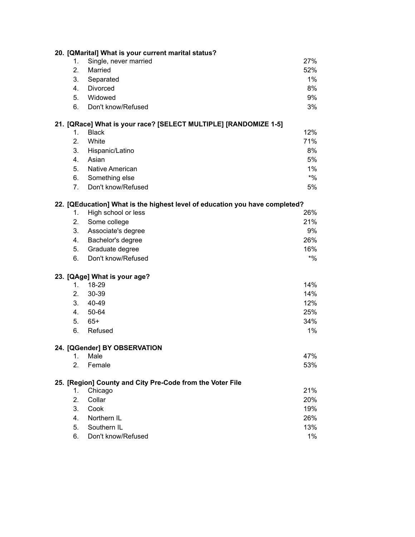|         | 20. [QMarital] What is your current marital status?                         |        |
|---------|-----------------------------------------------------------------------------|--------|
| $1_{-}$ | Single, never married                                                       | 27%    |
| 2.      | Married                                                                     | 52%    |
| 3.      | Separated                                                                   | 1%     |
| 4.      | Divorced                                                                    | 8%     |
| 5.      | Widowed                                                                     | 9%     |
| 6.      | Don't know/Refused                                                          | 3%     |
|         | 21. [QRace] What is your race? [SELECT MULTIPLE] [RANDOMIZE 1-5]            |        |
| 1.      | <b>Black</b>                                                                | 12%    |
| 2.      | White                                                                       | 71%    |
| 3.      | Hispanic/Latino                                                             | 8%     |
| 4.      | Asian                                                                       | 5%     |
| 5.      | Native American                                                             | 1%     |
| 6.      | Something else                                                              | $*9/6$ |
| 7.      | Don't know/Refused                                                          | 5%     |
|         | 22. [QEducation] What is the highest level of education you have completed? |        |
| 1.      | High school or less                                                         | 26%    |
| 2.      | Some college                                                                | 21%    |
| 3.      | Associate's degree                                                          | 9%     |
| 4.      | Bachelor's degree                                                           | 26%    |
| 5.      | Graduate degree                                                             | 16%    |
| 6.      | Don't know/Refused                                                          | $*9/0$ |
|         | 23. [QAge] What is your age?                                                |        |
| $1_{-}$ | 18-29                                                                       | 14%    |
| 2.      | 30-39                                                                       | 14%    |
| 3.      | 40-49                                                                       | 12%    |
| 4.      | 50-64                                                                       | 25%    |
| 5.      | $65+$                                                                       | 34%    |
| 6.      | Refused                                                                     | 1%     |
|         | 24. [QGender] BY OBSERVATION                                                |        |
| 1.      | Male                                                                        | 47%    |
| 2.      | Female                                                                      | 53%    |
|         | 25. [Region] County and City Pre-Code from the Voter File                   |        |
| 1.      | Chicago                                                                     | 21%    |
| 2.      | Collar                                                                      | 20%    |
| 3.      | Cook                                                                        | 19%    |
| 4.      | Northern IL                                                                 | 26%    |
| 5.      | Southern IL                                                                 | 13%    |
| 6.      | Don't know/Refused                                                          | $1\%$  |